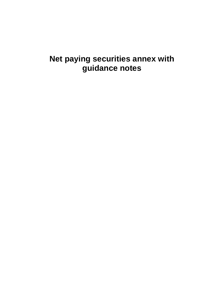# **Net paying securities annex with guidance notes**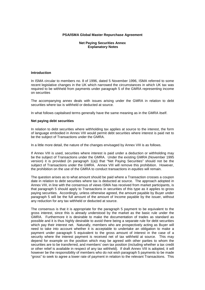## **PSA/ISMA Global Master Repurchase Agreement**

## **Net Paying Securities Annex Explanatory Notes**

### **Introduction**

In ISMA circular to members no. 8 of 1996, dated 5 November 1996, ISMA referred to some recent legislative changes in the UK which narrowed the circumstances in which UK tax was required to be withheld from payments under paragraph 5 of the GMRA representing income on securities

The accompanying annex deals with issues arising under the GMRA in relation to debt securities where tax is withheld or deducted at source.

In what follows capitalised terms generally have the same meaning as in the GMRA itself.

#### **Net paying debt securities**

In relation to debt securities where withholding tax applies at source to the interest, the form of language embodied in Annex VIII would permit debt securities where interest is paid net to be the subject of Transactions under the GMRA.

In a little more detail, the nature of the changes envisaged by Annex VIII is as follows.

If Annex VIII is used, securities where interest is paid under a deduction or withholding may be the subject of Transactions under the GMRA. Under the existing GMRA (November 1995 version) it is provided (in paragraph 1(a)) that "Net Paying Securities" should not be the subject of Transactions under the GMRA. Annex VIII will remove this prohibition. However, the prohibition on the use of the GMRA to conduct transactions in *equities* will remain.

The question arises as to what amount should be paid where a Transaction crosses a coupon date in relation to debt securities where tax is deducted at source. The approach adopted in Annex VIII, in line with the consensus of views ISMA has received from market participants, is that paragraph 5 should apply to Transactions in securities of this type as it applies to gross paying securities. Accordingly, unless otherwise agreed, the amount payable by Buyer under paragraph 5 will be the full amount of the amount of Income payable by the issuer, without any reduction for any tax withheld or deducted at source.

The consensus is that it is appropriate for the paragraph 5 payment to be equivalent to the gross interest, since this is already understood by the market as the basic rule under the GMRA. Furthermore it is desirable to make the documentation of trades as standard as possible and it is thus highly desirable to avoid there being a separate rule for debt securities which pay their interest net. Naturally, members who are prospectively acting as Buyer will need to take into account whether it is acceptable to undertake an obligation to make a payment under paragraph 5 equivalent to the gross amount of interest in the case of a security where the interest payment is received net of tax withheld at source. This may depend for example on the position which may be agreed with other parties to whom the securities are to be transferred, and members' own tax position (including whether a tax credit or other relief is available in respect of any tax withheld). If draft Annex VIII is adopted, it will however be the responsibility of members who do not wish paragraph 5 payments to be made "gross" to seek to agree a lower rate of payment in relation to the relevant Transactions. This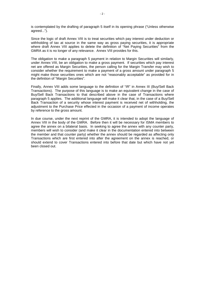is contemplated by the drafting of paragraph 5 itself in its opening phrase ("Unless otherwise agreed...").

Since the logic of draft Annex VIII is to treat securities which pay interest under deduction or withholding of tax at source in the same way as gross paying securities, it is appropriate where draft Annex VIII applies to delete the definition of "Net Paying Securities" from the GMRA as it is no longer of any relevance. Annex VIII provides for this.

The obligation to make a paragraph 5 payment in relation to Margin Securities will similarly, under Annex VIII, be an obligation to make a gross payment. If securities which pay interest net are offered as Margin Securities, the person calling for the Margin Transfer may wish to consider whether the requirement to make a payment of a gross amount under paragraph 5 might make those securities ones which are not "reasonably acceptable" as provided for in the definition of "Margin Securities".

Finally, Annex VIII adds some language to the definition of "IR" in Annex III (Buy/Sell Back Transactions). The purpose of this language is to make an equivalent change in the case of Buy/Sell Back Transactions to that described above in the case of Transactions where paragraph 5 applies. The additional language will make it clear that, in the case of a Buy/Sell Back Transaction of a security whose interest payment is received net of withholding, the adjustment to the Purchase Price effected in the occasion of a payment of income operates by reference to the gross amount.

In due course, under the next reprint of the GMRA, it is intended to adopt the language of Annex VIII in the body of the GMRA. Before then it will be necessary for ISMA members to agree the annex on a bilateral basis. In seeking to agree the annex with any counter party, members will wish to consider (and make it clear in the documentation entered into between the member and that counter party) whether the annex should be regarded as affecting only Transactions which are first entered into after the agreement on the annex is reached, or should extend to cover Transactions entered into before that date but which have not yet been closed out.